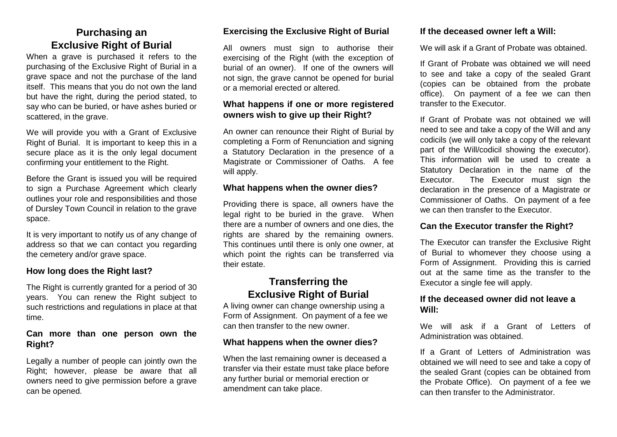## **Purchasing an Exclusive Right of Burial**

When a grave is purchased it refers to the purchasing of the Exclusive Right of Burial in a grave space and not the purchase of the land itself. This means that you do not own the land but have the right, during the period stated, to say who can be buried, or have ashes buried or scattered, in the grave.

We will provide you with a Grant of Exclusive Right of Burial. It is important to keep this in a secure place as it is the only legal document confirming your entitlement to the Right.

Before the Grant is issued you will be required to sign a Purchase Agreement which clearly outlines your role and responsibilities and those of Dursley Town Council in relation to the grave space.

It is very important to notify us of any change of address so that we can contact you regarding the cemetery and/or grave space.

#### **How long does the Right last?**

The Right is currently granted for a period of 30 years. You can renew the Right subject to such restrictions and regulations in place at that time.

#### **Can more than one person own the Right?**

Legally a number of people can jointly own the Right; however, please be aware that all owners need to give permission before a grave can be opened.

#### **Exercising the Exclusive Right of Burial**

All owners must sign to authorise their exercising of the Right (with the exception of burial of an owner). If one of the owners will not sign, the grave cannot be opened for burial or a memorial erected or altered.

#### **What happens if one or more registered owners wish to give up their Right?**

An owner can renounce their Right of Burial by completing a Form of Renunciation and signing a Statutory Declaration in the presence of a Magistrate or Commissioner of Oaths. A fee will apply.

#### **What happens when the owner dies?**

Providing there is space, all owners have the legal right to be buried in the grave. When there are a number of owners and one dies, the rights are shared by the remaining owners. This continues until there is only one owner, at which point the rights can be transferred via their estate.

### **Transferring the Exclusive Right of Burial**

A living owner can change ownership using a Form of Assignment. On payment of a fee we can then transfer to the new owner.

#### **What happens when the owner dies?**

When the last remaining owner is deceased a transfer via their estate must take place before any further burial or memorial erection or amendment can take place.

#### **If the deceased owner left a Will:**

We will ask if a Grant of Probate was obtained.

If Grant of Probate was obtained we will need to see and take a copy of the sealed Grant (copies can be obtained from the probate office). On payment of a fee we can then transfer to the Executor.

If Grant of Probate was not obtained we will need to see and take a copy of the Will and any codicils (we will only take a copy of the relevant part of the Will/codicil showing the executor). This information will be used to create a Statutory Declaration in the name of the Executor. The Executor must sign the declaration in the presence of a Magistrate or Commissioner of Oaths. On payment of a fee we can then transfer to the Executor.

#### **Can the Executor transfer the Right?**

The Executor can transfer the Exclusive Right of Burial to whomever they choose using a Form of Assignment. Providing this is carried out at the same time as the transfer to the Executor a single fee will apply.

#### **If the deceased owner did not leave a Will:**

We will ask if a Grant of Letters of Administration was obtained.

If a Grant of Letters of Administration was obtained we will need to see and take a copy of the sealed Grant (copies can be obtained from the Probate Office). On payment of a fee we can then transfer to the Administrator.